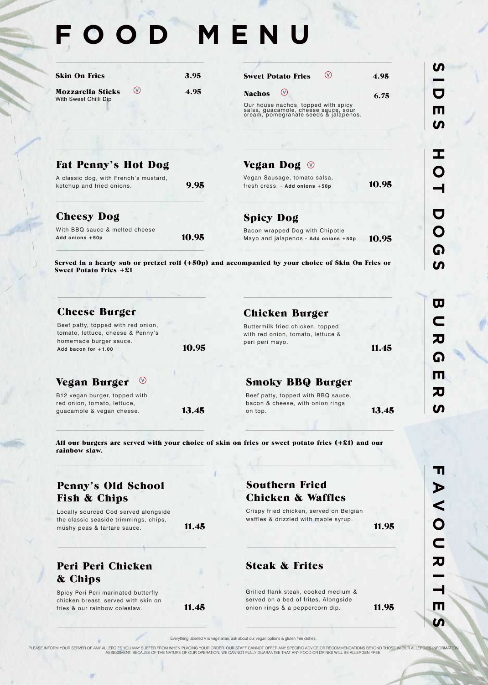# **FOOD MENU**

| <b>Skin On Fries</b>                              |     | 3.95 |
|---------------------------------------------------|-----|------|
| <b>Mozzarella Sticks</b><br>With Sweet Chilli Dip | (v) | 4.95 |

| (v)<br><b>Sweet Potato Fries</b>                                                                                     | 4.95 |
|----------------------------------------------------------------------------------------------------------------------|------|
| <b>Nachos</b><br>(v)                                                                                                 | 6.75 |
| Our house nachos, topped with spicy<br>salsa, guacamole, cheese sauce, sour<br>cream, pomegranate seeds & jalapenos. |      |

### Fat Penny's Hot Dog

A classic dog, with French's mustard, ketchup and fried onions. **9.95** 

#### Cheesy Dog

| With BBQ sauce & melted cheese |       |
|--------------------------------|-------|
| Add onions +50p                | 10.95 |

#### Vegan Dog

Vegan Sausage, tomato salsa, fresh cress. - Add onions +50p<br>**10.95** 

11.45

Spicy Dog

Bacon wrapped Dog with Chipotle Mayo and jalapenos - Add onions +50p 10.95

Served in a hearty sub or pretzel roll (+50p) and accompanied by your choice of Skin On Fries or Sweet Potato Fries +£1

| <b>Cheese Burger</b>                                                                                                       |       | <b>Chicken Burger</b>                                                                    |
|----------------------------------------------------------------------------------------------------------------------------|-------|------------------------------------------------------------------------------------------|
| Beef patty, topped with red onion,<br>tomato, lettuce, cheese & Penny's<br>homemade burger sauce.<br>Add bacon for $+1.00$ | 10.95 | Buttermilk fried chicken, topped<br>with red onion, tomato, lettuce &<br>peri peri mayo. |
| Vegan Burger<br>$\circlearrowleft$<br>D <sub>10</sub> vogen burger tonned with                                             |       | <b>Smoky BBQ Burger</b><br>Boof potty topped with BBO squee                              |

B12 vegan burger, topped with red onion, tomato, lettuce, guacamole & vegan cheese. **13.45** 

Beef patty, topped with BBQ sauce, bacon & cheese, with onion rings on top. **13.45** 

All our burgers are served with your choice of skin on fries or sweet potato fries (+£1) and our rainbow slaw.

## Penny's Old School Fish & Chips

Spicy Peri Peri marinated butterfly chicken breast, served with skin on

Peri Peri Chicken

& Chips

fries  $\&$  our rainbow coleslaw.  $11.45$ 

Locally sourced Cod served alongside the classic seaside trimmings, chips, mushy peas & tartare sauce. 11.45

## Southern Fried Chicken & Waffles

Crispy fried chicken, served on Belgian waffles & drizzled with maple syrup.

11.95

## Steak & Frites

Grilled flank steak, cooked medium & served on a bed of frites. Alongside onion rings  $\&$  a peppercorn dip.  $11.95$ 

**FAVOURITES** п  $\blacktriangleright$  $\overline{\mathbf{C}}$  $\overline{O}$  $\overline{\mathsf{C}}$ 刀 m

Everything labelled V is vegetarian, ask about our vegan options & gluten free dishes.

PLEASE INFORM YOUR SERVER OF ANY ALLERGIES YOU MAY SUFFER FROM WHEN PLACING YOUR ORDER. OUR STAFF CANNOT OFFER ANY SPECIFIC ADVICE OR RECOMMENDATIONS BEYOND THOSE IN OUR ALLERGIES INFORMATION<br>ASSESSMENT. BECAUSE OF THE NAT

Q

m

刀

ഗ

ഗ